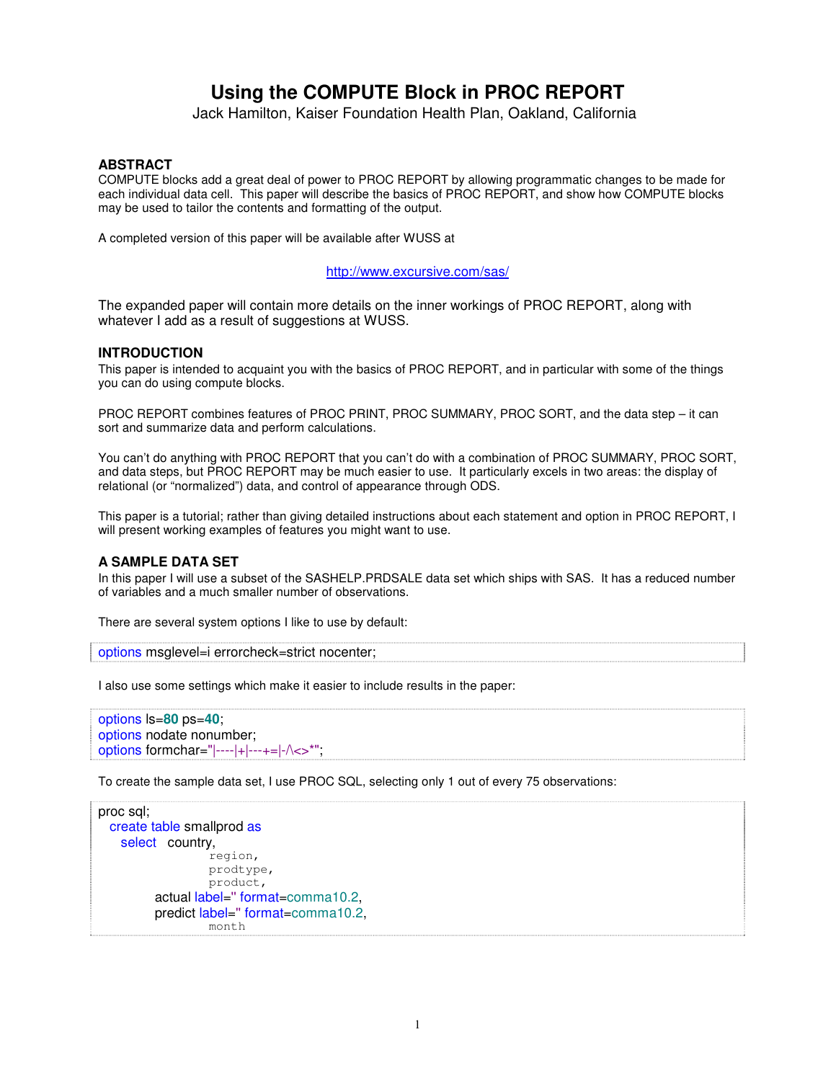# **Using the COMPUTE Block in PROC REPORT**

Jack Hamilton, Kaiser Foundation Health Plan, Oakland, California

### **ABSTRACT**

COMPUTE blocks add a great deal of power to PROC REPORT by allowing programmatic changes to be made for each individual data cell. This paper will describe the basics of PROC REPORT, and show how COMPUTE blocks may be used to tailor the contents and formatting of the output.

A completed version of this paper will be available after WUSS at

### http://www.excursive.com/sas/

The expanded paper will contain more details on the inner workings of PROC REPORT, along with whatever I add as a result of suggestions at WUSS.

#### **INTRODUCTION**

This paper is intended to acquaint you with the basics of PROC REPORT, and in particular with some of the things you can do using compute blocks.

PROC REPORT combines features of PROC PRINT, PROC SUMMARY, PROC SORT, and the data step – it can sort and summarize data and perform calculations.

You can't do anything with PROC REPORT that you can't do with a combination of PROC SUMMARY, PROC SORT, and data steps, but PROC REPORT may be much easier to use. It particularly excels in two areas: the display of relational (or "normalized") data, and control of appearance through ODS.

This paper is a tutorial; rather than giving detailed instructions about each statement and option in PROC REPORT, I will present working examples of features you might want to use.

#### **A SAMPLE DATA SET**

In this paper I will use a subset of the SASHELP.PRDSALE data set which ships with SAS. It has a reduced number of variables and a much smaller number of observations.

There are several system options I like to use by default:

```
options msglevel=i errorcheck=strict nocenter;
```
I also use some settings which make it easier to include results in the paper:

```
options ls=80 ps=40;
options nodate nonumber;
options formchar="|----|+|---+=|-/\<>*";
```
To create the sample data set, I use PROC SQL, selecting only 1 out of every 75 observations:

```
proc sql;
 create table smallprod as
   select country,
                 region,
                 prodtype,
                 product,
        actual label=''format=comma10.2,
        predict label=''format=comma10.2,
                 month
```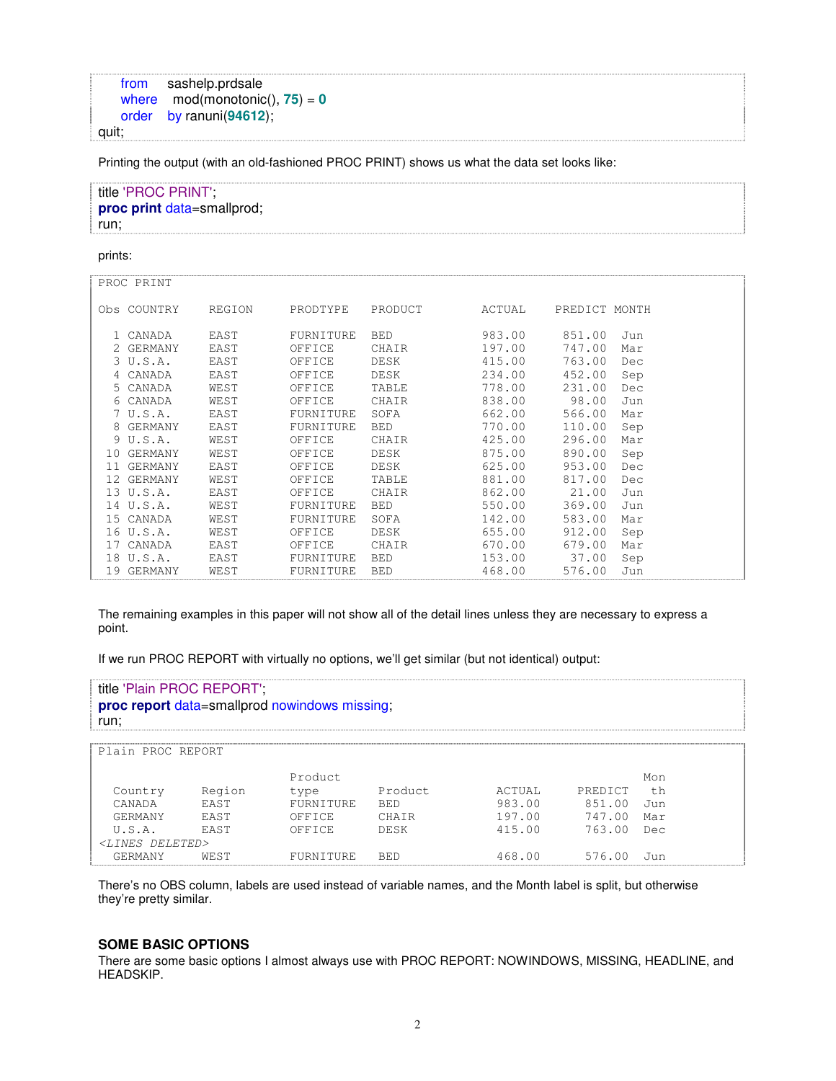```
from sashelp.prdsale
   where mod(monotonic(), 75) = 0order by ranuni(94612);
quit;
```
Printing the output (with an old-fashioned PROC PRINT) shows us what the data set looks like:

| title 'PROC PRINT'.        |
|----------------------------|
| proc print data=smallprod; |
| run:                       |

prints:

| PROC PRINT  |        |           |            |              |               |     |
|-------------|--------|-----------|------------|--------------|---------------|-----|
| Obs COUNTRY | REGION | PRODTYPE  | PRODUCT    | ACTUAL       | PREDICT MONTH |     |
| 1 CANADA    | EAST   | FURNITURE | <b>BED</b> | 983.00       | 851.00        | Jun |
| 2 GERMANY   | EAST   | OFFICE    | CHAIR      | 197.00       | 747.00        | Mar |
| 3 U.S.A.    | EAST   | OFFICE    | DESK       | 415.00       | 763.00        | Dec |
| 4 CANADA    | EAST   | OFFICE    | DESK       | 234.00       | 452.00        | Sep |
| 5 CANADA    | WEST   | OFFICE    | TABLE      | 778.00       | 231.00        | Dec |
| 6 CANADA    | WEST   | OFFICE    | CHAIR      | 838.00       | 98.00         | Jun |
| 7 U.S.A.    | EAST   | FURNITURE | SOFA       | 662.00       | 566.00        | Mar |
| 8 GERMANY   | EAST   | FURNITURE | <b>BED</b> | 770.00       | 110.00        | Sep |
| 9 U.S.A.    | WEST   | OFFICE    | CHAIR      | 425.00       | 296.00        | Mar |
| 10 GERMANY  | WEST   | OFFICE    | DESK       | 875.00       | 890.00        | Sep |
| 11 GERMANY  | EAST   | OFFICE    | DESK       | 625.00       | 953.00        | Dec |
| 12 GERMANY  | WEST   | OFFICE    | TABLE      | 881.00       | 817.00        | Dec |
| 13 U.S.A.   | EAST   | OFFICE    | CHAIR      | 862.00       | 21.00         | Jun |
| 14 U.S.A.   | WEST   | FURNITURE | <b>BED</b> | 550.00       | 369.00        | Jun |
| 15 CANADA   | WEST   | FURNITURE | SOFA       | 142.00       | 583.00        | Mar |
| 16 U.S.A.   | WEST   | OFFICE    | DESK       | 655.00       | 912.00        | Sep |
| 17 CANADA   | EAST   | OFFICE    | CHAIR      | 670.00       | 679.00        | Mar |
| 18 U.S.A.   | EAST   | FURNITURE | <b>BED</b> | 153.00 37.00 |               | Sep |
| 19 GERMANY  | WEST   | FURNITURE | <b>BED</b> | 468.00       | 576.00        | Jun |

The remaining examples in this paper will not show all of the detail lines unless they are necessary to express a point.

If we run PROC REPORT with virtually no options, we'll get similar (but not identical) output:

| title 'Plain PROC REPORT',<br>run: |             | proc report data=smallprod nowindows missing; |             |        |         |       |  |
|------------------------------------|-------------|-----------------------------------------------|-------------|--------|---------|-------|--|
| Plain PROC REPORT                  |             |                                               |             |        |         |       |  |
|                                    |             | Product.                                      |             |        |         | Mon   |  |
| Country                            | Region      | type                                          | Product     | ACTUAL | PREDICT | t.h   |  |
| CANADA                             | <b>FAST</b> | <b>FURNITURE</b>                              | <b>BED</b>  | 983.00 | 851.00  | . Tun |  |
| GERMANY                            | <b>FAST</b> | OFFICE                                        | CHATR       | 197.00 | 747.00  | Mar   |  |
| U.S.A.                             | <b>FAST</b> | OFFICE                                        | <b>DESK</b> | 415.00 | 763.00  | Dec   |  |
| $\langle$ LINES DELETED>           |             |                                               |             |        |         |       |  |
| GERMANY                            | WEST        | FURNITURE                                     | <b>BED</b>  | 468.00 | 576.00  | Tun.  |  |

There's no OBS column, labels are used instead of variable names, and the Month label is split, but otherwise they're pretty similar.

### **SOME BASIC OPTIONS**

There are some basic options I almost always use with PROC REPORT: NOWINDOWS, MISSING, HEADLINE, and HEADSKIP.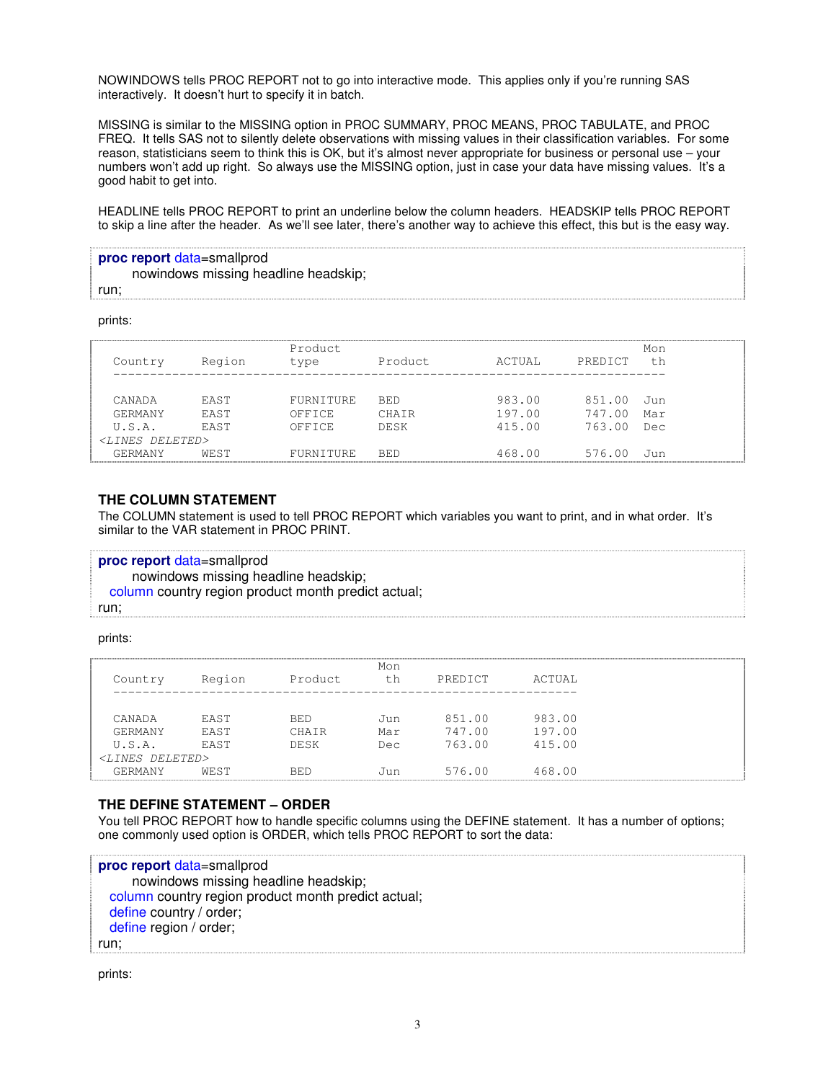NOWINDOWS tells PROC REPORT not to go into interactive mode. This applies only if you're running SAS interactively. It doesn't hurt to specify it in batch.

MISSING is similar to the MISSING option in PROC SUMMARY, PROC MEANS, PROC TABULATE, and PROC FREQ. It tells SAS not to silently delete observations with missing values in their classification variables. For some reason, statisticians seem to think this is OK, but it's almost never appropriate for business or personal use – your numbers won't add up right. So always use the MISSING option, just in case your data have missing values. It's a good habit to get into.

HEADLINE tells PROC REPORT to print an underline below the column headers. HEADSKIP tells PROC REPORT to skip a line after the header. As we'll see later, there's another way to achieve this effect, this but is the easy way.

```
proc report data=smallprod
     nowindows missing headline headskip;
run;
```
prints:

| Country                    | Region      | Product.<br>type | Product     | ACTUAL | PREDICT | Mon<br>th |
|----------------------------|-------------|------------------|-------------|--------|---------|-----------|
| CANADA                     | <b>FAST</b> | FURNITURE        | BED.        | 983.00 | 851.00  | Jun       |
| GERMANY                    | <b>FAST</b> | OFFICE           | CHATR       | 197.00 | 747.00  | Mar       |
| U.S.A.                     | <b>FAST</b> | OFFICE           | <b>DESK</b> | 415.00 | 763.00  | Dec       |
| <lines deleted=""></lines> |             |                  |             |        |         |           |
| <b>GERMANY</b>             | WEST        | FURNITURE        | BED         | 468.00 | 576.00  | Jun       |

### **THE COLUMN STATEMENT**

The COLUMN statement is used to tell PROC REPORT which variables you want to print, and in what order. It's similar to the VAR statement in PROC PRINT.

**proc report** data=smallprod nowindows missing headline headskip; column country region product month predict actual; run;

#### prints:

| Country                              | Region                     | Product             | Mon<br>th   | PREDICT          | ACTUAL           |
|--------------------------------------|----------------------------|---------------------|-------------|------------------|------------------|
| CANADA<br><b>GERMANY</b>             | <b>FAST</b><br><b>FAST</b> | <b>BED</b><br>CHATR | เJบท<br>Mar | 851.00<br>747.00 | 983.00<br>197.00 |
| U.S.A.<br><lines deleted=""></lines> | <b>FAST</b>                | DESK                | Dec         | 763.00           | 415.00           |
| GERMANY                              | WEST                       | <b>BED</b>          | Jun.        | 576.00           | 468.00           |

### **THE DEFINE STATEMENT – ORDER**

You tell PROC REPORT how to handle specific columns using the DEFINE statement. It has a number of options; one commonly used option is ORDER, which tells PROC REPORT to sort the data:

**proc report** data=smallprod nowindows missing headline headskip; column country region product month predict actual; define country / order; define region / order; run;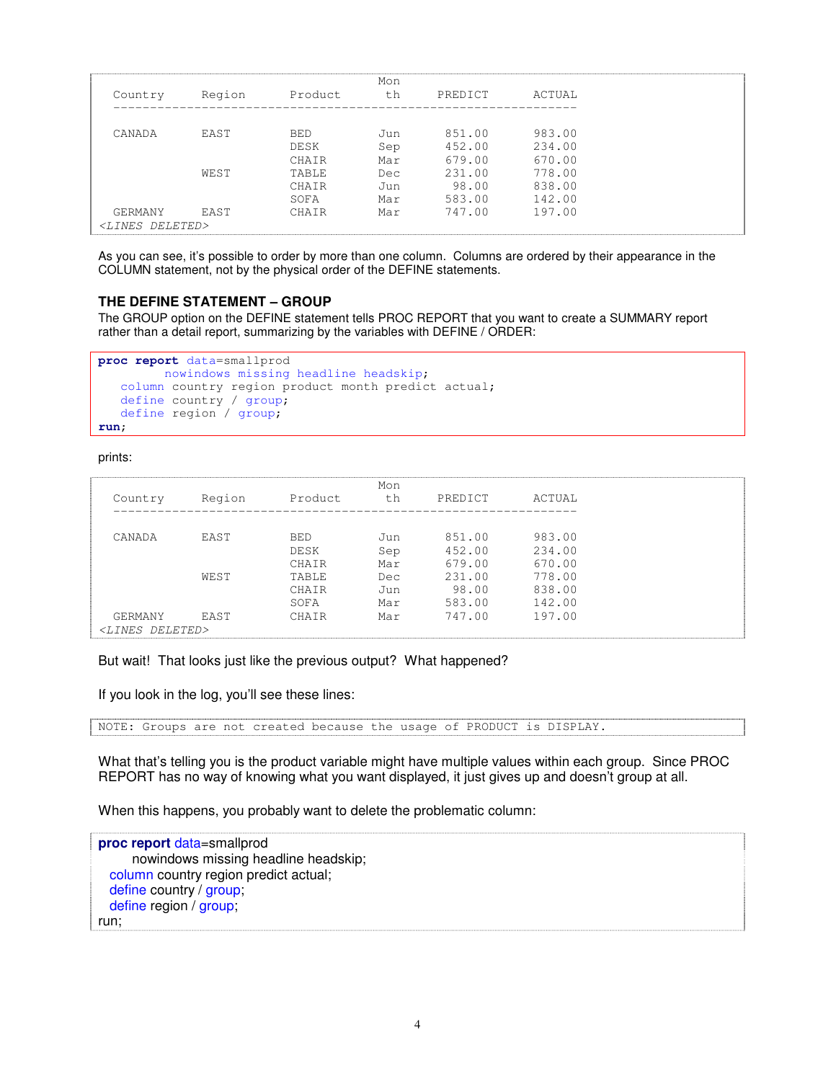|                            |        |            | Mon |         |        |
|----------------------------|--------|------------|-----|---------|--------|
| Country                    | Region | Product    | th  | PREDICT | ACTUAL |
|                            |        |            |     |         |        |
| CANADA                     | EAST   | <b>BED</b> | Jun | 851.00  | 983.00 |
|                            |        | DESK       | Sep | 452.00  | 234.00 |
|                            |        | CHATR      | Mar | 679.00  | 670.00 |
|                            | WEST   | TABLE      | Dec | 231.00  | 778.00 |
|                            |        | CHAIR      | Jun | 98.00   | 838.00 |
|                            |        | SOFA       | Mar | 583.00  | 142.00 |
| GERMANY                    | EAST   | CHAIR      | Mar | 747.00  | 197.00 |
| <lines deleted=""></lines> |        |            |     |         |        |

As you can see, it's possible to order by more than one column. Columns are ordered by their appearance in the COLUMN statement, not by the physical order of the DEFINE statements.

### **THE DEFINE STATEMENT – GROUP**

The GROUP option on the DEFINE statement tells PROC REPORT that you want to create a SUMMARY report rather than a detail report, summarizing by the variables with DEFINE / ORDER:

```
proc report data=smallprod
        nowindows missing headline headskip;
  column country region product month predict actual;
  define country / group;
  define region / group;
run;
```
prints:

|                             |        |              | Mon |         |        |
|-----------------------------|--------|--------------|-----|---------|--------|
| Country                     | Region | Product      | th  | PREDICT | ACTUAL |
|                             |        |              |     |         |        |
| CANADA                      | EAST   | <b>BED</b>   | Jun | 851.00  | 983.00 |
|                             |        | DESK         | Sep | 452.00  | 234.00 |
|                             |        | CHAIR        | Mar | 679.00  | 670.00 |
|                             | WEST   | <b>TABLE</b> | Dec | 231.00  | 778.00 |
|                             |        | CHATR        | Jun | 98.00   | 838.00 |
|                             |        | SOFA         | Mar | 583.00  | 142.00 |
| GERMANY                     | FAST   | CHAIR        | Mar | 747.00  | 197.00 |
| DELETED><br>$<$ T, T N $ES$ |        |              |     |         |        |

But wait! That looks just like the previous output? What happened?

If you look in the log, you'll see these lines:

NOTE: Groups are not created because the usage of PRODUCT is DISPLAY.

What that's telling you is the product variable might have multiple values within each group. Since PROC REPORT has no way of knowing what you want displayed, it just gives up and doesn't group at all.

When this happens, you probably want to delete the problematic column:

**proc report** data=smallprod nowindows missing headline headskip; column country region predict actual; define country / group; define region / group; run;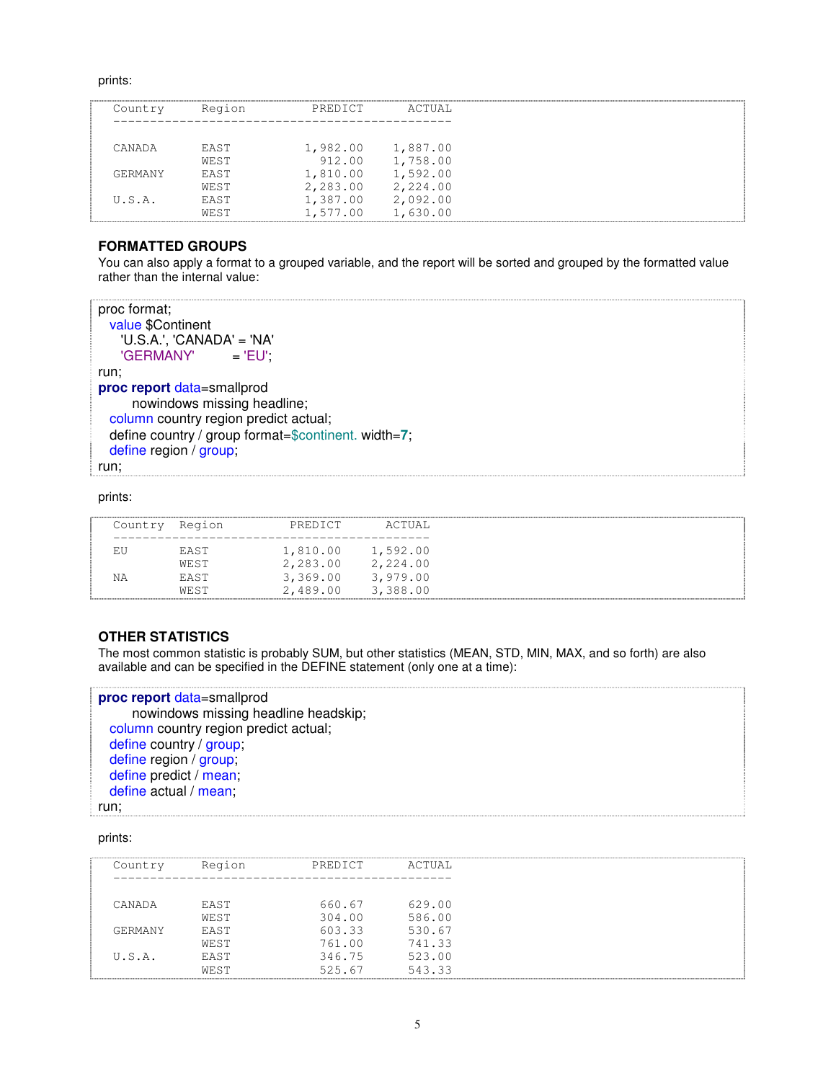prints:

| Country | Region      | PREDICT  | ACTUAL   |
|---------|-------------|----------|----------|
|         |             |          |          |
|         |             |          |          |
| CANADA  | <b>FAST</b> | 1,982.00 | 1,887.00 |
|         | WEST        | 912.00   | 1,758.00 |
| GERMANY | <b>EAST</b> | 1,810.00 | 1,592.00 |
|         | WEST        | 2,283.00 | 2,224.00 |
| U.S.A.  | <b>FAST</b> | 1,387.00 | 2,092.00 |
|         | WEST        | 1,577.00 | 1,630.00 |

# **FORMATTED GROUPS**

You can also apply a format to a grouped variable, and the report will be sorted and grouped by the formatted value rather than the internal value:

```
proc format;
 value $Continent
    'U.S.A.', 'CANADA' = 'NA'<br>'GERMANY' = 'EU';
    'GERMANY'
run;
proc report data=smallprod
      nowindows missing headline;
 column country region predict actual;
 define country / group format=$continent. width=7;
 define region / group;
run;
```
#### prints:

| Country Region |             | PREDICT  | ACTUAL   |
|----------------|-------------|----------|----------|
|                | <b>FAST</b> | 1,810.00 | 1,592.00 |
|                | WEST        | 2,283.00 | 2,224.00 |
| ΝA             | <b>FAST</b> | 3,369.00 | 3,979.00 |
|                | WEST        | 2,489.00 | 3,388.00 |

### **OTHER STATISTICS**

The most common statistic is probably SUM, but other statistics (MEAN, STD, MIN, MAX, and so forth) are also available and can be specified in the DEFINE statement (only one at a time):

### **proc report** data=smallprod

nowindows missing headline headskip; column country region predict actual; define country / group; define region / group; define predict / mean; define actual / mean;

#### run;

| Country | Region       | PREDICT          | ACTUAL           |
|---------|--------------|------------------|------------------|
| CANADA  | EAST         | 660.67           | 629.00           |
|         | WEST         | 304.00           | 586.00           |
| GERMANY | EAST<br>WEST | 603.33<br>761.00 | 530.67<br>741.33 |
| U.S.A.  | EAST         | 346.75           | 523.00           |
|         | WEST         | 525.67           | 543.33           |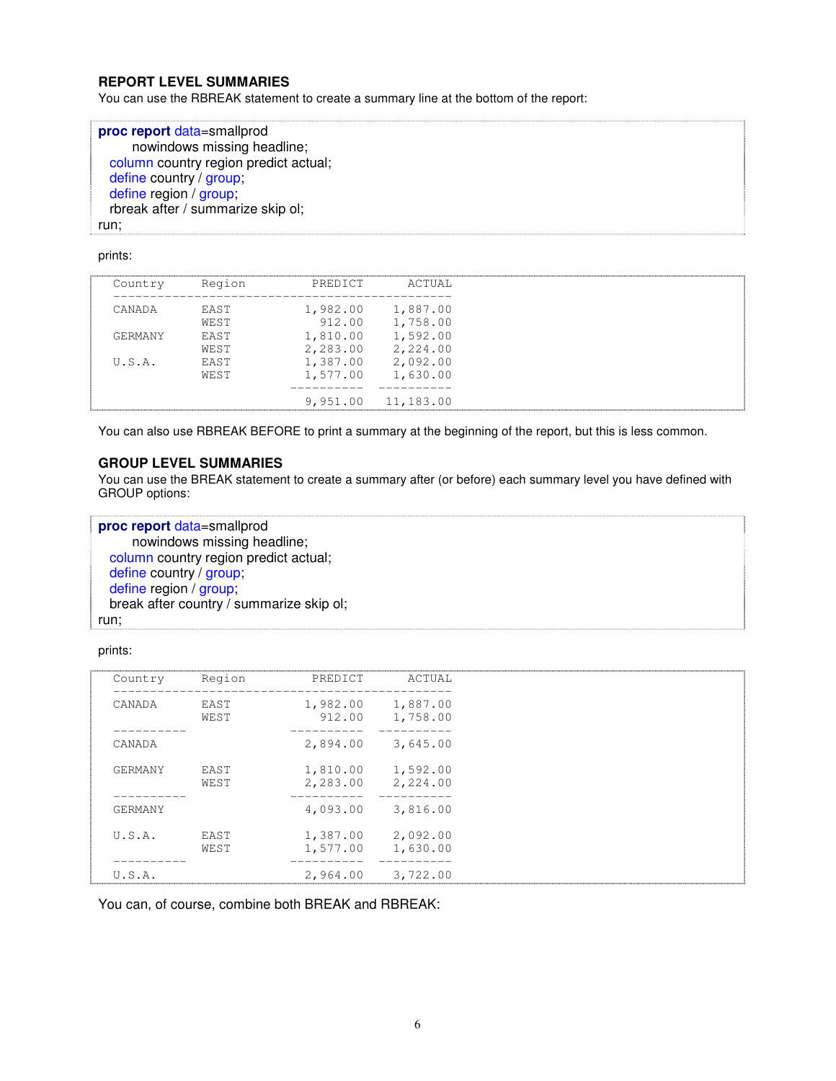### **REPORT LEVEL SUMMARIES**

You can use the RBREAK statement to create a summary line at the bottom of the report:

| proc report data=smallprod            |
|---------------------------------------|
| nowindows missing headline;           |
| column country region predict actual; |
| define country / group;               |
| define region / group;                |
| rbreak after / summarize skip ol;     |
| run:                                  |

### prints:

| Country | Region      | PREDICT  | ACTUAL    |
|---------|-------------|----------|-----------|
| CANADA  | <b>FAST</b> | 1,982.00 | 1,887.00  |
|         | WEST        | 912.00   | 1,758.00  |
| GERMANY | <b>FAST</b> | 1,810.00 | 1,592.00  |
|         | WEST        | 2,283.00 | 2,224.00  |
| U.S.A.  | <b>FAST</b> | 1,387.00 | 2,092.00  |
|         | WEST        | 1,577.00 | 1,630.00  |
|         |             |          |           |
|         |             | 9,951.00 | 11,183.00 |

You can also use RBREAK BEFORE to print a summary at the beginning of the report, but this is less common.

### **GROUP LEVEL SUMMARIES**

You can use the BREAK statement to create a summary after (or before) each summary level you have defined with GROUP options:

| proc report data=smallprod               |
|------------------------------------------|
| nowindows missing headline;              |
| column country region predict actual;    |
| define country / group;                  |
| define region / group;                   |
| break after country / summarize skip ol; |
| run:                                     |

### prints:

| Country | Region       | PREDICT              | ACTUAL                        |
|---------|--------------|----------------------|-------------------------------|
| CANADA  | EAST<br>WEST | 912.00               | 1,982.00 1,887.00<br>1,758.00 |
| CANADA  |              | 2,894.00             | 3,645.00                      |
| GERMANY | EAST<br>WEST | 1,810.00<br>2,283.00 | 1,592.00<br>2,224.00          |
| GERMANY |              | 4,093.00             | 3,816.00                      |
| U.S.A.  | EAST<br>WEST | 1,387.00<br>1,577.00 | 2,092.00<br>1,630.00          |
| U.S.A.  |              | 2,964.00             | 3,722.00                      |

You can, of course, combine both BREAK and RBREAK: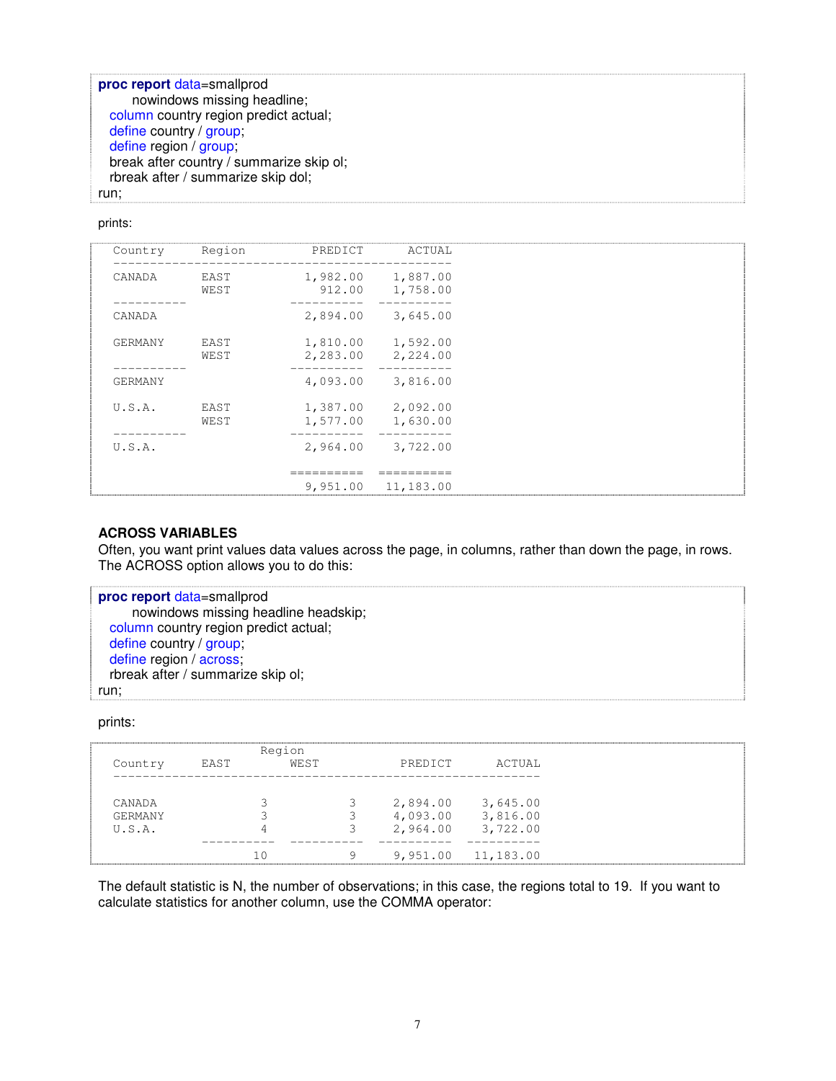**proc report** data=smallprod nowindows missing headline; column country region predict actual; define country / group; define region / group; break after country / summarize skip ol; rbreak after / summarize skip dol; run;

#### prints:

| Country | Region       | PREDICT  | ACTUAL                               |
|---------|--------------|----------|--------------------------------------|
| CANADA  | EAST<br>WEST |          | 1,982.00 1,887.00<br>912.00 1,758.00 |
|         |              |          |                                      |
| CANADA  |              | 2,894.00 | 3,645.00                             |
| GERMANY | EAST         |          | 1,810.00 1,592.00                    |
|         | WEST         |          | 2,283.00 2,224.00                    |
| GERMANY |              |          | 4,093.00 3,816.00                    |
| U.S.A.  | EAST         |          | 1,387.00 2,092.00                    |
|         | WEST         |          | 1,577.00 1,630.00                    |
| U.S.A.  |              | 2,964.00 | 3,722.00                             |
|         |              |          |                                      |
|         |              | 9,951.00 | 11,183.00                            |

### **ACROSS VARIABLES**

Often, you want print values data values across the page, in columns, rather than down the page, in rows. The ACROSS option allows you to do this:

```
proc report data=smallprod
     nowindows missing headline headskip;
 column country region predict actual;
 define country / group;
 define region / across:
 rbreak after / summarize skip ol;
run;
```
prints:

|         |      | Region |   |          |                      |
|---------|------|--------|---|----------|----------------------|
| Country | EAST | WEST   |   | PREDICT  | ACTUAL               |
|         |      |        |   |          |                      |
| CANADA  |      |        |   | 2,894.00 | 3,645.00             |
| GERMANY |      |        |   |          | 4,093.00 3,816.00    |
| U.S.A.  |      |        |   |          | 2,964.00 3,722.00    |
|         |      |        |   |          |                      |
|         |      |        | 9 |          | $9,951.00$ 11,183.00 |

The default statistic is N, the number of observations; in this case, the regions total to 19. If you want to calculate statistics for another column, use the COMMA operator: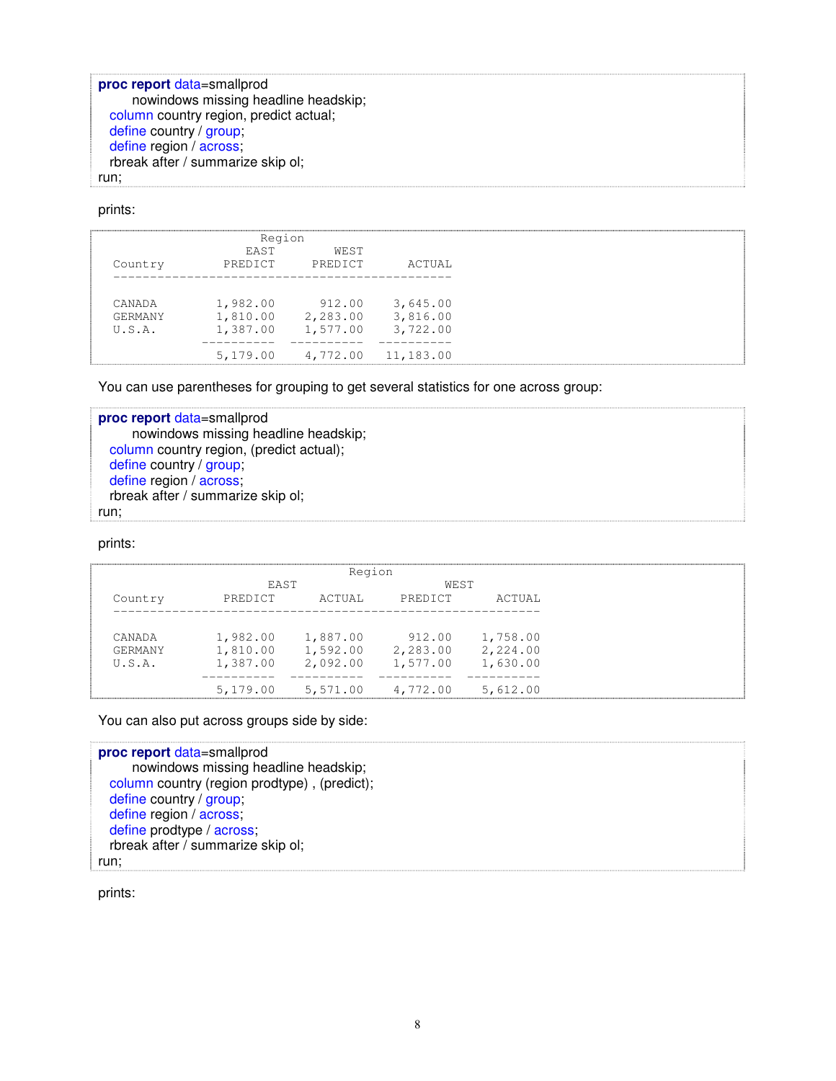**proc report** data=smallprod nowindows missing headline headskip; column country region, predict actual; define country / group; define region / across; rbreak after / summarize skip ol; run;

prints:

|         | Region                 |                 |           |
|---------|------------------------|-----------------|-----------|
| Country | <b>FAST</b><br>PREDICT | WEST<br>PREDICT | ACTUAL    |
|         |                        |                 |           |
| CANADA  | 1,982.00               | 912.00          | 3,645.00  |
| GERMANY | 1,810.00               | 2,283.00        | 3,816.00  |
| U.S.A.  | 1,387.00               | 1,577.00        | 3,722.00  |
|         |                        |                 |           |
|         | 5,179.00               | 4,772.00        | 11,183.00 |

You can use parentheses for grouping to get several statistics for one across group:

**proc report** data=smallprod nowindows missing headline headskip; column country region, (predict actual); define country / group; define region / across; rbreak after / summarize skip ol; run;

prints:

|         |          | Region   |          |          |
|---------|----------|----------|----------|----------|
|         | EAST     |          | WEST     |          |
| Country | PREDICT  | ACTUAL   | PREDICT  | ACTUAL   |
|         |          |          |          |          |
| CANADA  | 1,982.00 | 1,887.00 | 912.00   | 1,758.00 |
| GERMANY | 1,810.00 | 1,592.00 | 2,283.00 | 2,224.00 |
| U.S.A.  | 1,387.00 | 2,092.00 | 1,577.00 | 1,630.00 |
|         |          |          |          |          |
|         | 5,179.00 | 5,571.00 | 4,772.00 | 5,612.00 |

You can also put across groups side by side:

**proc report** data=smallprod nowindows missing headline headskip; column country (region prodtype) , (predict); define country / group; define region / across; define prodtype / across; rbreak after / summarize skip ol; run;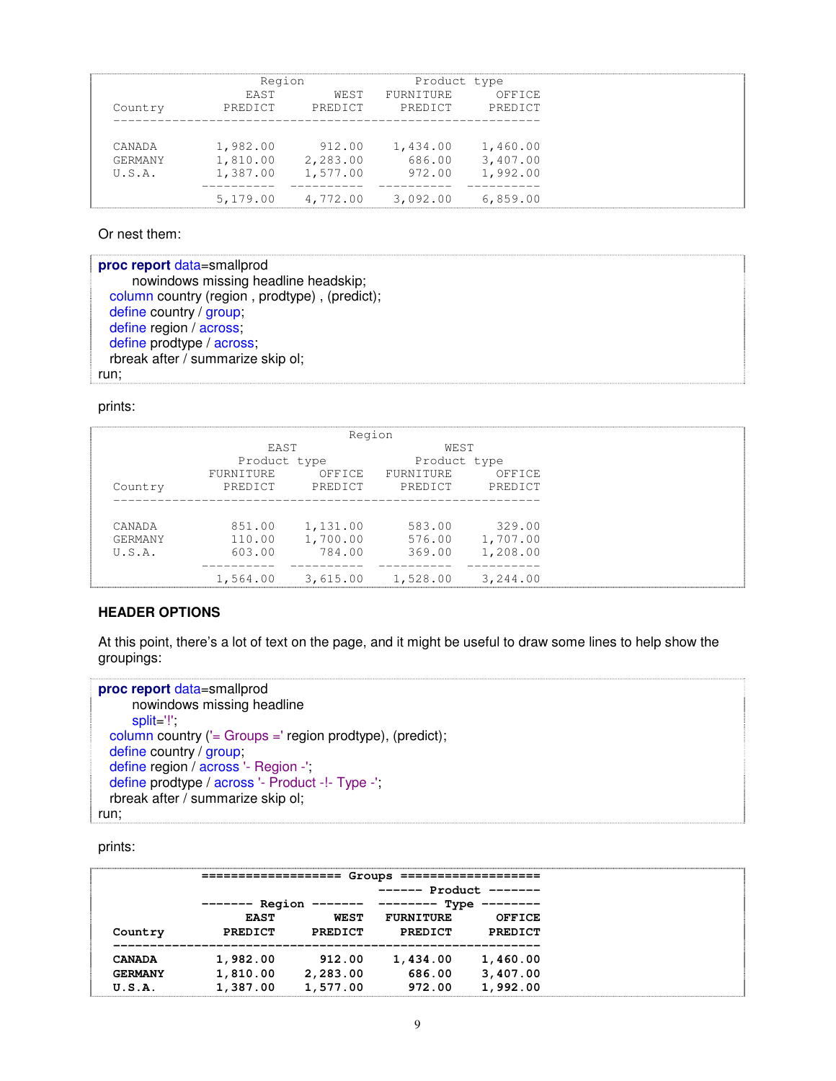|                | Region      |          | Product type     |          |
|----------------|-------------|----------|------------------|----------|
|                | <b>EAST</b> | WEST     | <b>FURNITURE</b> | OFFICE   |
| Country        | PREDICT     | PREDICT  | PREDICT          | PREDICT  |
|                |             |          |                  |          |
| CANADA         | 1,982.00    | 912.00   | 1,434.00         | 1,460.00 |
| <b>GERMANY</b> | 1,810.00    | 2,283.00 | 686.00           | 3,407.00 |
| U.S.A.         | 1,387.00    | 1,577.00 | 972.00           | 1,992.00 |
|                | 5,179.00    | 4,772.00 | 3,092.00         | 6,859.00 |

Or nest them:

| proc report data=smallprod                    |
|-----------------------------------------------|
| nowindows missing headline headskip;          |
| column country (region, prodtype), (predict); |
| define country / group                        |
| define region / across;                       |
| define prodtype / across;                     |
| rbreak after / summarize skip ol;             |
| run;                                          |

prints:

|                |              | Region   |              |                 |
|----------------|--------------|----------|--------------|-----------------|
|                | <b>FAST</b>  |          | WEST         |                 |
|                | Product type |          | Product type |                 |
|                | FURNITURE    | OFFICE   | FURNITURE    | OFFICE          |
| Country        | PREDICT      | PREDICT  |              | PREDICT PREDICT |
|                |              |          |              |                 |
|                |              |          |              |                 |
| CANADA         | 851.00       | 1,131.00 | 583.00       | 329.00          |
| <b>GERMANY</b> | 110.00       | 1,700.00 |              | 576.00 1,707.00 |
| U.S.A.         | 603.00       | 784.00   | 369.00       | 1,208.00        |
|                |              |          |              |                 |
|                | 1,564.00     | 3,615.00 | 1,528.00     | 3,244.00        |
|                |              |          |              |                 |

# **HEADER OPTIONS**

At this point, there's a lot of text on the page, and it might be useful to draw some lines to help show the groupings:

```
proc report data=smallprod
     nowindows missing headline
     split='!';
 column country ('= Groups =' region prodtype), (predict);
 define country / group,
  define region / across '- Region -',
  define prodtype / across '- Product -!- Type -';
 rbreak after / summarize skip ol;
run;
```

|                |                   |             | Groups           |                |
|----------------|-------------------|-------------|------------------|----------------|
|                |                   |             | Product          |                |
|                | Region<br>------- |             | Type             |                |
|                | <b>EAST</b>       | <b>WEST</b> | <b>FURNITURE</b> | OFFICE         |
| Country        | <b>PREDICT</b>    | PREDICT     | PREDICT          | <b>PREDICT</b> |
| <b>CANADA</b>  | 1,982.00          | 912.00      | 1,434.00         | 1,460.00       |
| <b>GERMANY</b> | 1,810.00          | 2,283.00    | 686.00           | 3,407.00       |
| U.S.A.         | 1,387.00          | 1,577.00    | 972.00           | 1,992.00       |
|                |                   |             |                  |                |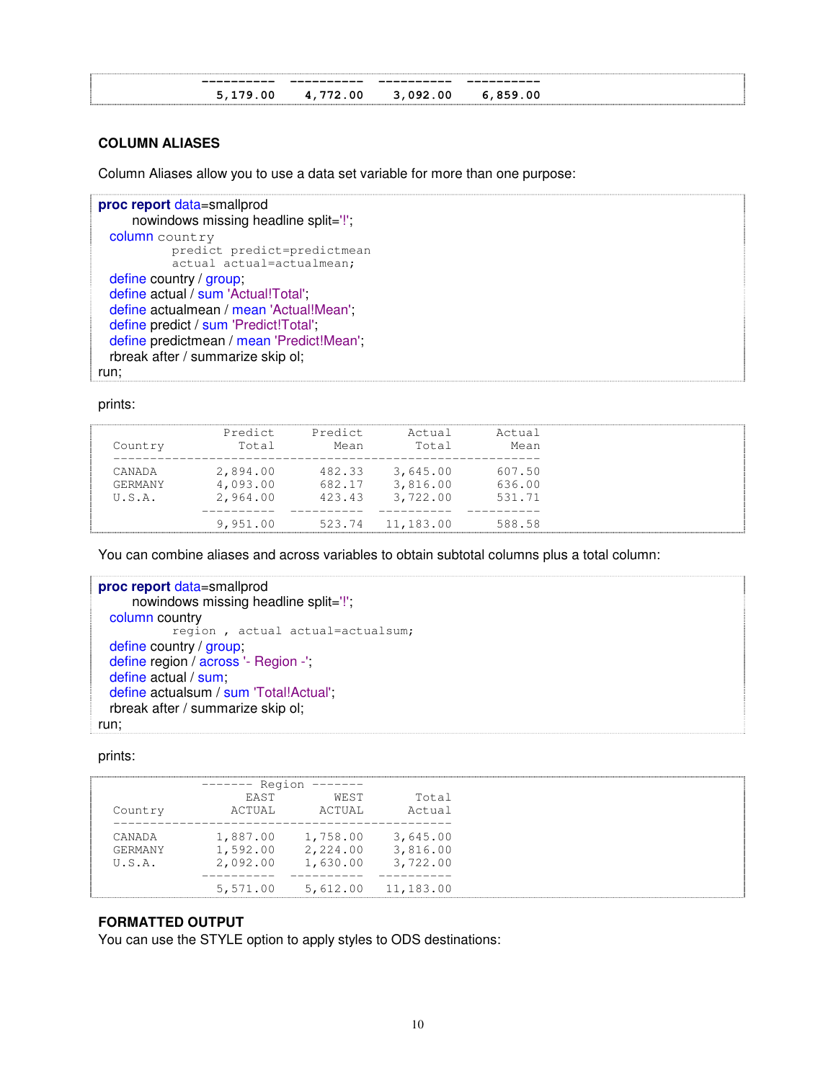### **COLUMN ALIASES**

Column Aliases allow you to use a data set variable for more than one purpose:

```
proc report data=smallprod
     nowindows missing headline split='!';
 column country
           predict predict=predictmean
           actual actual=actualmean;
 define country / group;
 define actual / sum 'Actual!Total';
 define actualmean / mean 'Actual!Mean';
 define predict / sum 'Predict!Total';
 define predictmean / mean 'Predict!Mean';
 rbreak after / summarize skip ol;
run;
```
prints:

You can combine aliases and across variables to obtain subtotal columns plus a total column:

```
proc report data=smallprod
     nowindows missing headline split='!';
 column country
            region , actual actual=actualsum;
 define country / group;
 define region / across '- Region -';
 define actual / sum;
 define actualsum / sum 'Total!Actual';
  rbreak after / summarize skip ol;
run;
```
prints:

|                | ------ Region |          |                    |
|----------------|---------------|----------|--------------------|
|                | <b>FAST</b>   | WEST     | Total              |
| Country        | ACTUAL        | ACTUAL   | Actual             |
| CANADA         | 1,887.00      | 1,758.00 | 3,645.00           |
| <b>GERMANY</b> | 1,592.00      | 2,224.00 | 3,816.00           |
| U.S.A.         | 2,092.00      | 1,630.00 | 3,722.00           |
|                |               |          |                    |
|                | 5,571.00      |          | 5,612.00 11,183.00 |

# **FORMATTED OUTPUT**

You can use the STYLE option to apply styles to ODS destinations: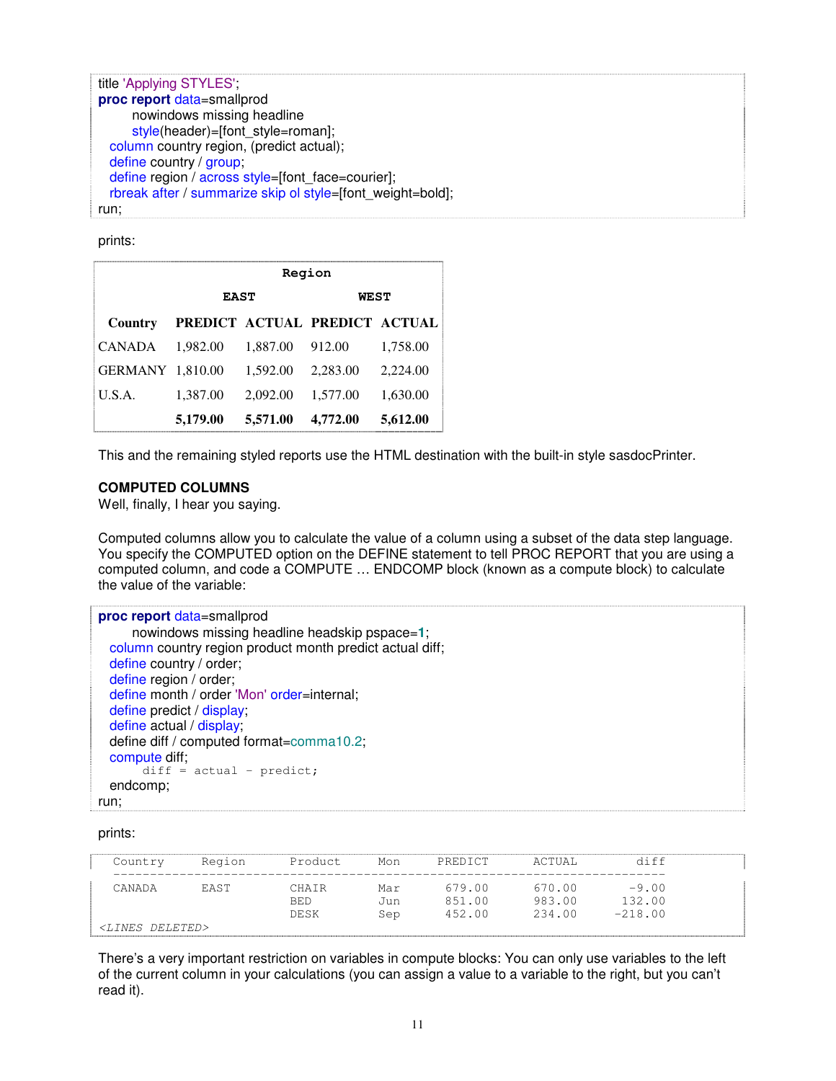```
title 'Applying STYLES';
proc report data=smallprod
     nowindows missing headline
     style(header)=[font_style=roman];
  column country region, (predict actual);
  define country / group;
 define region / across style=[font_face=courier];
 rbreak after / summarize skip ol style=[font_weight=bold];
run;
```
prints:

|                  |             |          | Region                        |          |
|------------------|-------------|----------|-------------------------------|----------|
|                  | <b>EAST</b> |          | <b>WEST</b>                   |          |
| Country          |             |          | PREDICT ACTUAL PREDICT ACTUAL |          |
| <b>CANADA</b>    | 1.982.00    | 1.887.00 | 912.00                        | 1,758.00 |
| GERMANY 1,810.00 |             | 1,592.00 | 2,283.00                      | 2,224.00 |
| U.S.A.           | 1,387.00    | 2,092.00 | 1,577.00                      | 1,630.00 |
|                  | 5,179.00    | 5,571.00 | 4,772.00                      | 5,612.00 |

This and the remaining styled reports use the HTML destination with the built-in style sasdocPrinter.

### **COMPUTED COLUMNS**

Well, finally, I hear you saying.

Computed columns allow you to calculate the value of a column using a subset of the data step language. You specify the COMPUTED option on the DEFINE statement to tell PROC REPORT that you are using a computed column, and code a COMPUTE … ENDCOMP block (known as a compute block) to calculate the value of the variable:

| proc report data=smallprod                               |
|----------------------------------------------------------|
| nowindows missing headline headskip pspace=1;            |
| column country region product month predict actual diff; |
| define country / order;                                  |
| define region / order;                                   |
| define month / order 'Mon' order=internal;               |
| define predict / display;                                |
| define actual / display;                                 |
| define diff / computed format=comma10.2;                 |
| compute diff;                                            |
| $diff = actual - predict;$                               |
| endcomp;                                                 |
| run:                                                     |

prints:

| Country                    | Region      | Product             | Mon        | PREDICT          | ACTUAL           | diff              |  |
|----------------------------|-------------|---------------------|------------|------------------|------------------|-------------------|--|
| CANADA                     | <b>FAST</b> | CHATR<br><b>BED</b> | Mar<br>Jun | 679.00<br>851.00 | 670.00<br>983.00 | $-9.00$<br>132.00 |  |
| <lines deleted=""></lines> |             | <b>DESK</b>         | Sep        | 452.00           | 234.00           | $-218.00$         |  |

There's a very important restriction on variables in compute blocks: You can only use variables to the left of the current column in your calculations (you can assign a value to a variable to the right, but you can't read it).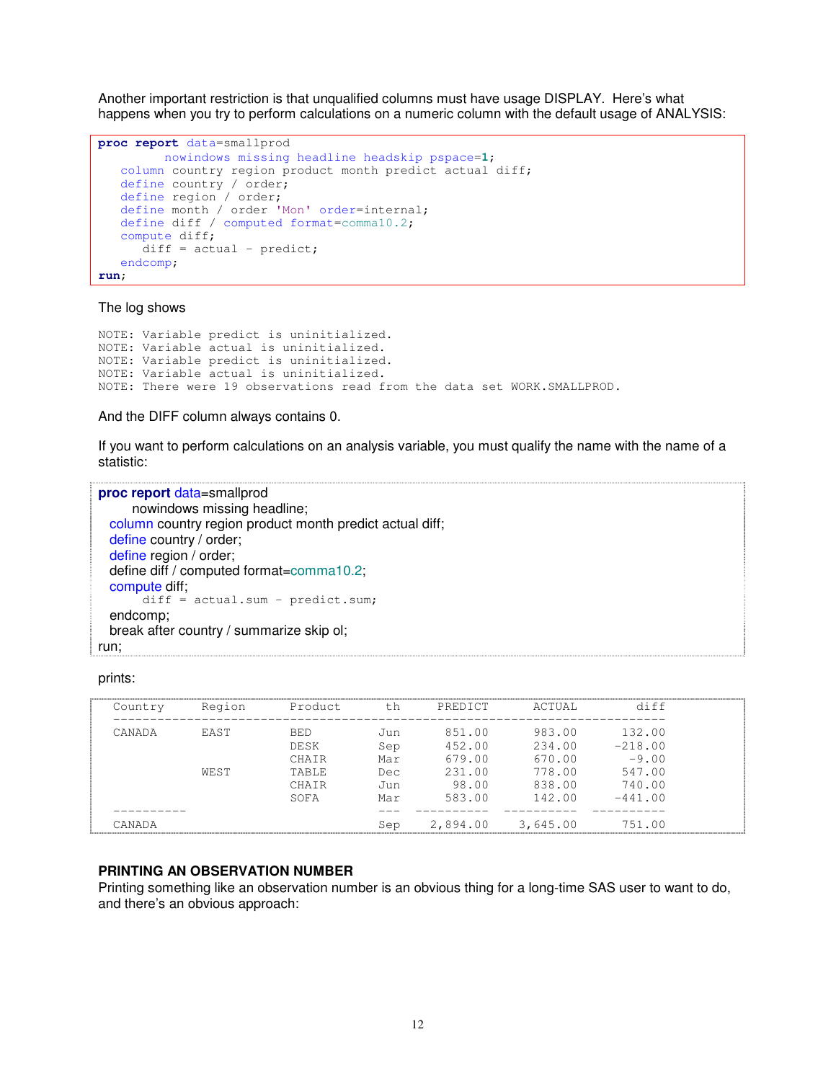Another important restriction is that unqualified columns must have usage DISPLAY. Here's what happens when you try to perform calculations on a numeric column with the default usage of ANALYSIS:

```
proc report data=smallprod
        nowindows missing headline headskip pspace=1;
  column country region product month predict actual diff;
  define country / order;
  define region / order;
   define month / order 'Mon' order=internal;
   define diff / computed format=comma10.2;
  compute diff;
     diff = actual - predict;endcomp;
run;
```
#### The log shows

```
NOTE: Variable predict is uninitialized.
NOTE: Variable actual is uninitialized.
NOTE: Variable predict is uninitialized.
NOTE: Variable actual is uninitialized.
NOTE: There were 19 observations read from the data set WORK.SMALLPROD.
```
### And the DIFF column always contains 0.

If you want to perform calculations on an analysis variable, you must qualify the name with the name of a statistic:

```
proc report data=smallprod
     nowindows missing headline;
 column country region product month predict actual diff;
 define country / order;
 define region / order;
 define diff / computed format=comma10.2;
 compute diff;
       diff = actual.sum - predict.sum;endcomp;
 break after country / summarize skip ol;
run;
```
### prints:

| Country | Region | Product    | t.h  | PREDICT  | ACTUAL   | diff      |
|---------|--------|------------|------|----------|----------|-----------|
| CANADA  | EAST   | <b>BED</b> | Jun. | 851.00   | 983.00   | 132.00    |
|         |        | DESK       | Sep  | 452.00   | 234.00   | $-218.00$ |
|         |        | CHAIR      | Mar  | 679.00   | 670.00   | $-9.00$   |
|         | WEST   | TABLE      | Dec  | 231.00   | 778.00   | 547.00    |
|         |        | CHAIR      | Jun  | 98.00    | 838.00   | 740.00    |
|         |        | SOFA       | Mar  | 583.00   | 142.00   | $-441.00$ |
|         |        |            |      |          |          |           |
| CANADA  |        |            | Sep  | 2,894.00 | 3,645.00 | 751.00    |

# **PRINTING AN OBSERVATION NUMBER**

Printing something like an observation number is an obvious thing for a long-time SAS user to want to do, and there's an obvious approach: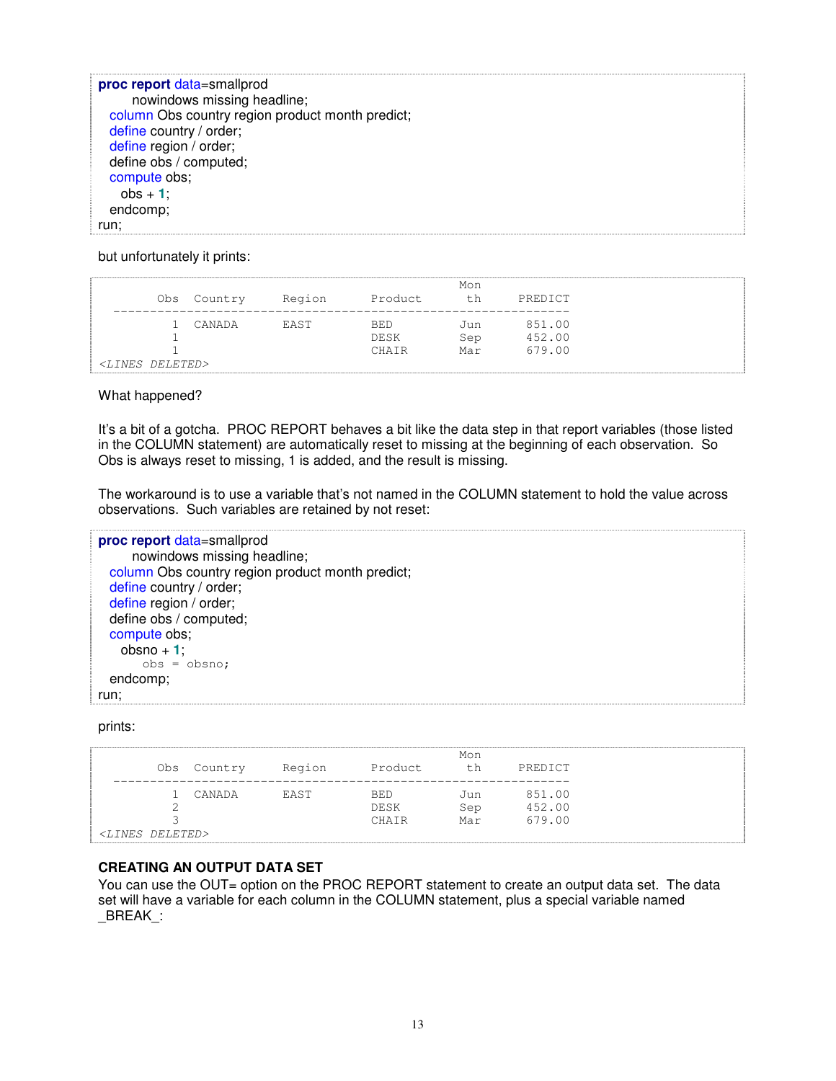**proc report** data=smallprod nowindows missing headline; column Obs country region product month predict; define country / order; define region / order; define obs / computed; compute obs; obs + **1**; endcomp; run;

but unfortunately it prints:

|                            |             |        |             | Mon |         |
|----------------------------|-------------|--------|-------------|-----|---------|
|                            | Obs Country | Region | Product     | th  | PREDICT |
|                            |             |        |             |     |         |
|                            | CANADA      | EAST   | BED         | Jun | 851.00  |
|                            |             |        | <b>DESK</b> | Sep | 452.00  |
|                            |             |        | CHATR       | Mar | 679.00  |
| <lines deleted=""></lines> |             |        |             |     |         |

What happened?

It's a bit of a gotcha. PROC REPORT behaves a bit like the data step in that report variables (those listed in the COLUMN statement) are automatically reset to missing at the beginning of each observation. So Obs is always reset to missing, 1 is added, and the result is missing.

The workaround is to use a variable that's not named in the COLUMN statement to hold the value across observations. Such variables are retained by not reset:

**proc report** data=smallprod nowindows missing headline; column Obs country region product month predict; define country / order; define region / order; define obs / computed; compute obs;  $obsno + 1$ ;  $obs = obsno;$ endcomp; run;

prints:

| Obs                        | Country | Region | Product               | Mon               | PREDICT                    |
|----------------------------|---------|--------|-----------------------|-------------------|----------------------------|
|                            | CANADA  | EAST   | BE.D<br>DESK<br>CHAIR | Jun<br>Sep<br>Mar | 851.00<br>452.00<br>679.00 |
| <lines deleted=""></lines> |         |        |                       |                   |                            |

# **CREATING AN OUTPUT DATA SET**

You can use the OUT= option on the PROC REPORT statement to create an output data set. The data set will have a variable for each column in the COLUMN statement, plus a special variable named \_BREAK\_: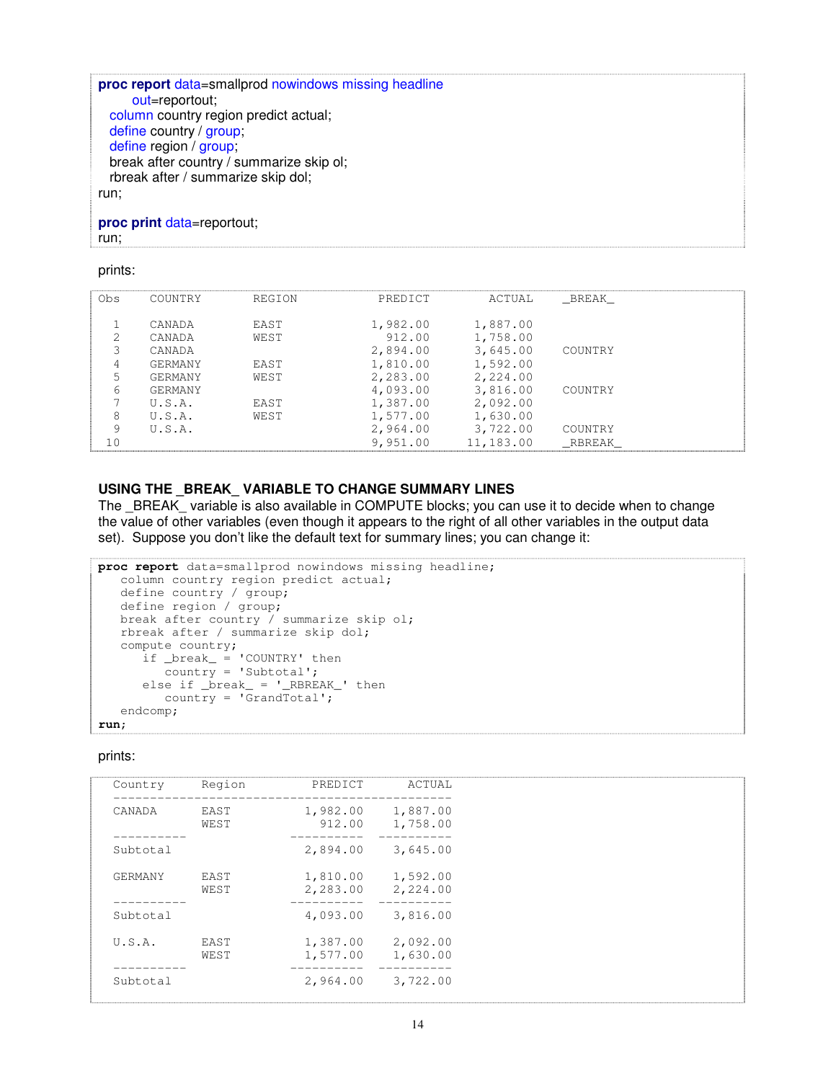**proc report** data=smallprod nowindows missing headline out=reportout; column country region predict actual; define country / group; define region / group; break after country / summarize skip ol; rbreak after / summarize skip dol; run; **proc print** data=reportout;

run;

#### prints:

| COUNTRY | REGION      | PREDICT     | ACTUAL    |          |       |
|---------|-------------|-------------|-----------|----------|-------|
|         |             |             |           |          |       |
|         |             |             |           |          |       |
|         |             |             |           |          |       |
| CANADA  | WEST        | 912.00      | 1,758.00  |          |       |
| CANADA  |             | 2,894.00    | 3,645.00  | COUNTRY  |       |
| GERMANY | <b>FAST</b> | 1,810.00    | 1,592.00  |          |       |
| GERMANY | WEST        | 2,283.00    | 2,224.00  |          |       |
| GERMANY |             | 4,093.00    | 3,816.00  | COUNTRY  |       |
| U.S.A.  | <b>FAST</b> | 1,387.00    | 2,092.00  |          |       |
| U.S.A.  | WEST        | 1,577.00    | 1,630.00  |          |       |
| U.S.A.  |             | 2,964.00    | 3,722.00  | COUNTRY  |       |
|         |             | 9,951.00    | 11,183.00 | RBREAK   |       |
|         | CANADA      | <b>FAST</b> | 1,982.00  | 1,887.00 | BREAK |

# **USING THE \_BREAK\_ VARIABLE TO CHANGE SUMMARY LINES**

The BREAK\_ variable is also available in COMPUTE blocks; you can use it to decide when to change the value of other variables (even though it appears to the right of all other variables in the output data set). Suppose you don't like the default text for summary lines; you can change it:

```
proc report data=smallprod nowindows missing headline;
   column country region predict actual;
   define country / group;
   define region / group;
   break after country / summarize skip ol;
   rbreak after / summarize skip dol;
   compute country;
      if \nvert break_\frac{1}{x} 'COUNTRY' then
          country = 'Subtotal';
       else if _break_ = '_RBREAK_' then
          \overline{C} country = 'GrandTotal';
   endcomp;
run;
```

| Country  | Region | PREDICT  | ACTUAL   |
|----------|--------|----------|----------|
|          |        |          |          |
| CANADA   | EAST   | 1,982.00 | 1,887.00 |
|          | WEST   | 912.00   | 1,758.00 |
|          |        |          |          |
| Subtotal |        | 2,894.00 | 3,645.00 |
|          |        |          |          |
| GERMANY  | EAST   | 1,810.00 | 1,592.00 |
|          | WEST   | 2,283.00 | 2,224.00 |
|          |        |          |          |
| Subtotal |        | 4,093.00 | 3,816.00 |
| U.S.A.   | EAST   | 1,387.00 | 2,092.00 |
|          | WEST   | 1,577.00 | 1,630.00 |
|          |        |          |          |
| Subtotal |        | 2,964.00 | 3,722.00 |
|          |        |          |          |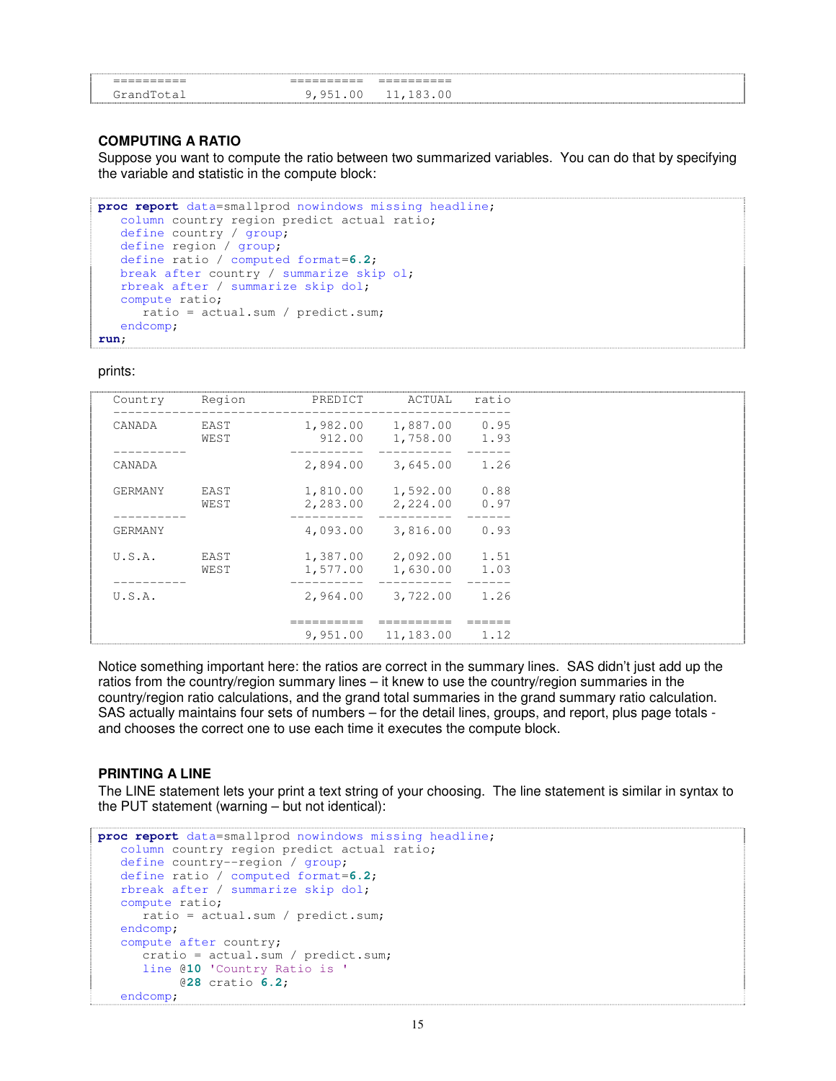| ___________<br>--<br>-------- | ___________<br>____ | ___________<br>__<br>------ |  |
|-------------------------------|---------------------|-----------------------------|--|
|                               |                     | . .<br><b>__</b>            |  |

### **COMPUTING A RATIO**

Suppose you want to compute the ratio between two summarized variables. You can do that by specifying the variable and statistic in the compute block:

```
proc report data=smallprod nowindows missing headline;
   column country region predict actual ratio;
   define country / group;
  define region / group;
  define ratio / computed format=6.2;
  break after country / summarize skip ol;
  rbreak after / summarize skip dol;
  compute ratio;
     ratio = actual.sum / predict.sum;
   endcomp;
run;
```
prints:

| Country        | Region       | PREDICT              | ACTUAL                             | ratio        |
|----------------|--------------|----------------------|------------------------------------|--------------|
| CANADA         | EAST<br>WEST | 912.00               | 1,982.00 1,887.00 0.95<br>1,758.00 | 1.93         |
| CANADA         |              | 2,894.00             | 3,645.00                           | 1.26         |
| GERMANY        | EAST<br>WEST | 2,283.00             | 1,810.00 1,592.00<br>2,224.00      | 0.88<br>0.97 |
| <b>GERMANY</b> |              | 4,093.00             | 3,816.00                           | 0.93         |
| U.S.A.         | EAST<br>WEST | 1,387.00<br>1,577.00 | 2,092.00<br>1,630.00               | 1.51<br>1.03 |
| U.S.A.         |              |                      | 2,964.00 3,722.00                  | 1.26         |
|                |              | 9,951.00             | 11,183.00                          | 1.12         |

Notice something important here: the ratios are correct in the summary lines. SAS didn't just add up the ratios from the country/region summary lines – it knew to use the country/region summaries in the country/region ratio calculations, and the grand total summaries in the grand summary ratio calculation. SAS actually maintains four sets of numbers – for the detail lines, groups, and report, plus page totals and chooses the correct one to use each time it executes the compute block.

### **PRINTING A LINE**

The LINE statement lets your print a text string of your choosing. The line statement is similar in syntax to the PUT statement (warning – but not identical):

```
proc report data=smallprod nowindows missing headline;
  column country region predict actual ratio;
  define country--region / group;
  define ratio / computed format=6.2;
  rbreak after / summarize skip dol;
  compute ratio;
      ratio = actual.sum / predict.sum;
   endcomp;
   compute after country;
     cratio = actual.sum / predict.sum;
     line @10 'Country Ratio is '
          @28 cratio 6.2;
   endcomp;
```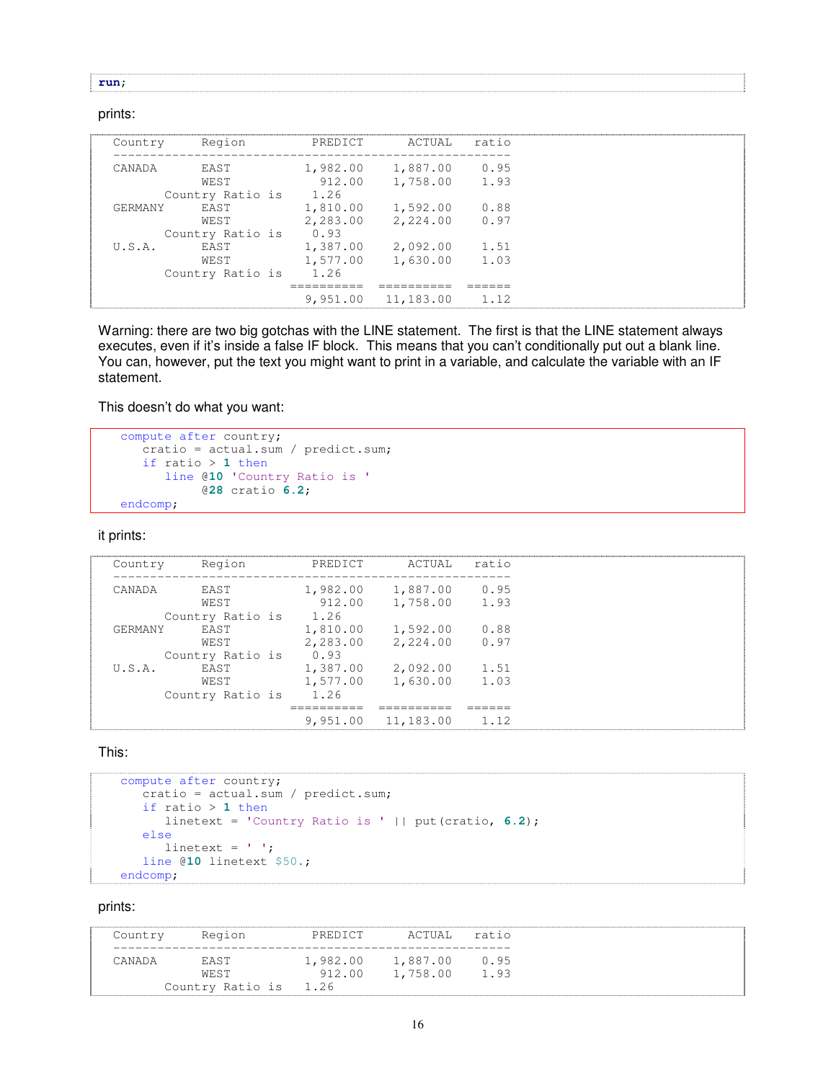#### **run**;

#### prints:

| Country | Region           | PREDICT  | ACTUAL    | ratio |
|---------|------------------|----------|-----------|-------|
| CANADA  | FAST             | 1,982.00 | 1,887.00  | 0.95  |
|         | WEST             | 912.00   | 1,758.00  | 1.93  |
|         | Country Ratio is | 1.26     |           |       |
| GERMANY | FAST             | 1,810.00 | 1,592.00  | 0.88  |
|         | WEST             | 2,283.00 | 2,224.00  | 0.97  |
|         | Country Ratio is | 0.93     |           |       |
| U.S.A.  | FAST             | 1,387.00 | 2,092.00  | 1.51  |
|         | WEST             | 1,577.00 | 1,630.00  | 1.03  |
|         | Country Ratio is | 1.26     |           |       |
|         |                  |          |           |       |
|         |                  | 9,951.00 | 11,183.00 | 1.12  |

Warning: there are two big gotchas with the LINE statement. The first is that the LINE statement always executes, even if it's inside a false IF block. This means that you can't conditionally put out a blank line. You can, however, put the text you might want to print in a variable, and calculate the variable with an IF statement.

This doesn't do what you want:

```
compute after country;
  cratio = actual.sum / predict.sum;
  if ratio > 1 then
     line @10 'Country Ratio is '
           @28 cratio 6.2;
endcomp;
```
it prints:

| Country | Region           | PREDICT  | ACTUAL             | ratio |
|---------|------------------|----------|--------------------|-------|
|         |                  |          |                    |       |
|         |                  |          |                    |       |
| CANADA  | <b>FAST</b>      | 1,982.00 | 1,887.00           | 0.95  |
|         |                  |          |                    |       |
|         | WEST             | 912.00   | 1,758.00           | 1.93  |
|         | Country Ratio is | 1.26     |                    |       |
|         |                  |          |                    |       |
| GERMANY | <b>FAST</b>      | 1,810.00 | 1,592.00           | 0.88  |
|         | WEST             | 2,283.00 | 2,224.00           | 0.97  |
|         |                  |          |                    |       |
|         | Country Ratio is | 0.93     |                    |       |
| U.S.A.  | <b>FAST</b>      | 1,387.00 | 2,092.00           | 1.51  |
|         |                  |          |                    |       |
|         | WEST             | 1,577.00 | 1,630.00           | 1.03  |
|         |                  | 1.26     |                    |       |
|         | Country Ratio is |          |                    |       |
|         |                  |          |                    |       |
|         |                  |          |                    | 1.12  |
|         |                  |          | 9,951.00 11,183.00 |       |

This:

```
compute after country;
  cratio = actual.sum / predict.sum;
   if ratio > 1 then
     linetext = 'Country Ratio is ' || put(cratio, 6.2);
   else
     linetext = ' ';
   line @10 linetext $50.;
endcomp;
```

| Country  | Region                        | PREDICT | ACTUAL                 | ratio |
|----------|-------------------------------|---------|------------------------|-------|
| 'ANAI) A | <b>FAST</b>                   |         | 1,982.00 1,887.00 0.95 |       |
|          | WEST<br>Country Ratio is 1.26 |         | 912.00 1,758.00 1.93   |       |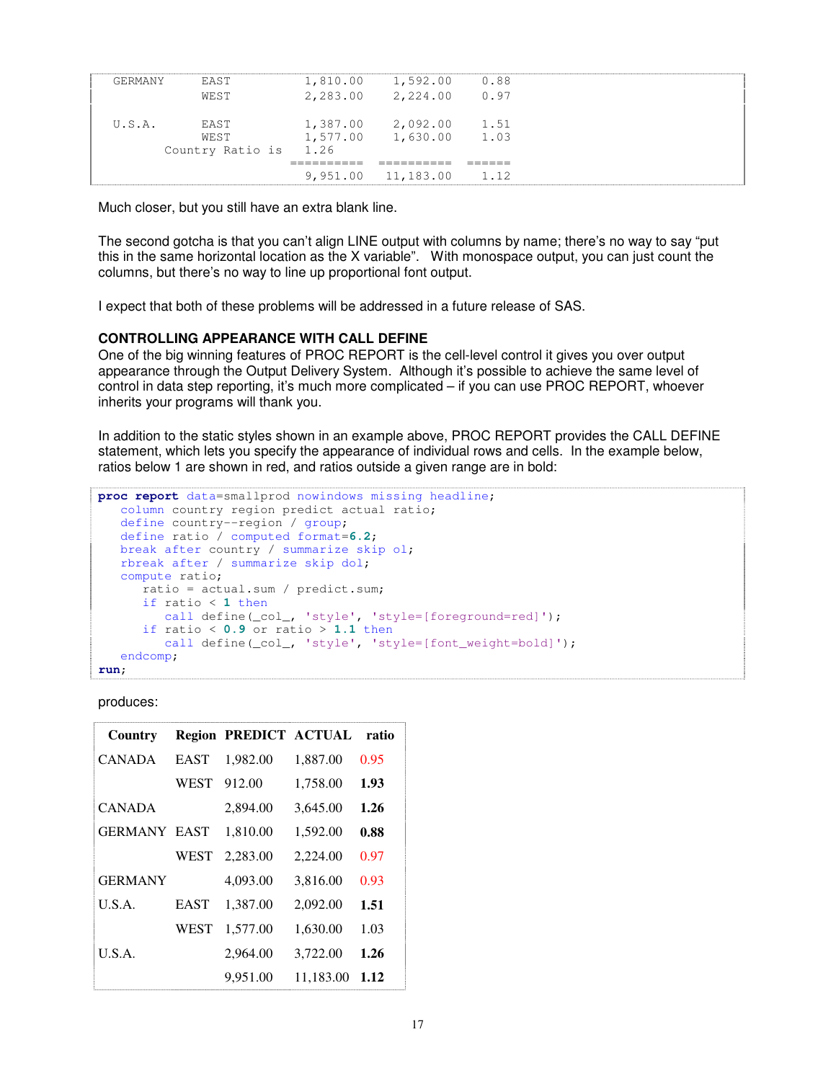| GERMANY | FAST                  | 1,810.00 | 1,592.00             | 0.88 |  |
|---------|-----------------------|----------|----------------------|------|--|
|         | WEST                  |          | 2,283.00 2,224.00    | 0.97 |  |
|         |                       |          |                      |      |  |
| U.S.A.  | FAST                  | 1,387.00 | 2,092.00 1.51        |      |  |
|         | WEST                  |          | 1,577.00 1,630.00    | 1.03 |  |
|         | Country Ratio is 1.26 |          |                      |      |  |
|         |                       |          |                      |      |  |
|         |                       |          | $9,951.00$ 11,183.00 | 1.12 |  |

Much closer, but you still have an extra blank line.

The second gotcha is that you can't align LINE output with columns by name; there's no way to say "put this in the same horizontal location as the X variable". With monospace output, you can just count the columns, but there's no way to line up proportional font output.

I expect that both of these problems will be addressed in a future release of SAS.

### **CONTROLLING APPEARANCE WITH CALL DEFINE**

One of the big winning features of PROC REPORT is the cell-level control it gives you over output appearance through the Output Delivery System. Although it's possible to achieve the same level of control in data step reporting, it's much more complicated – if you can use PROC REPORT, whoever inherits your programs will thank you.

In addition to the static styles shown in an example above, PROC REPORT provides the CALL DEFINE statement, which lets you specify the appearance of individual rows and cells. In the example below, ratios below 1 are shown in red, and ratios outside a given range are in bold:

```
proc report data=smallprod nowindows missing headline;
  column country region predict actual ratio;
  define country--region / group;
  define ratio / computed format=6.2;
  break after country / summarize skip ol;
  rbreak after / summarize skip dol;
  compute ratio;
      ratio = actual.sum / predict.sum;
      if ratio < 1 then
        call define(_col_, 'style', 'style=[foreground=red]');
      if ratio < 0.9 or ratio > 1.1 then
        call define(_col_, 'style', 'style=[font_weight=bold]');
   endcomp;
run;
```
produces:

| Country             |             | <b>Region PREDICT ACTUAL</b> |           | ratio |
|---------------------|-------------|------------------------------|-----------|-------|
| <b>CANADA</b>       | <b>EAST</b> | 1,982.00                     | 1,887.00  | 0.95  |
|                     | <b>WEST</b> | 912.00                       | 1,758.00  | 1.93  |
| <b>CANADA</b>       |             | 2,894.00                     | 3,645.00  | 1.26  |
| <b>GERMANY EAST</b> |             | 1,810.00                     | 1,592.00  | 0.88  |
|                     | WEST        | 2,283.00                     | 2,224.00  | 0.97  |
| <b>GERMANY</b>      |             | 4,093.00                     | 3,816.00  | 0.93  |
| U.S.A.              | <b>EAST</b> | 1,387.00                     | 2,092.00  | 1.51  |
|                     | <b>WEST</b> | 1,577.00                     | 1,630.00  | 1.03  |
| U.S.A.              |             | 2,964.00                     | 3,722.00  | 1.26  |
|                     |             | 9.951.00                     | 11,183.00 | 1.12  |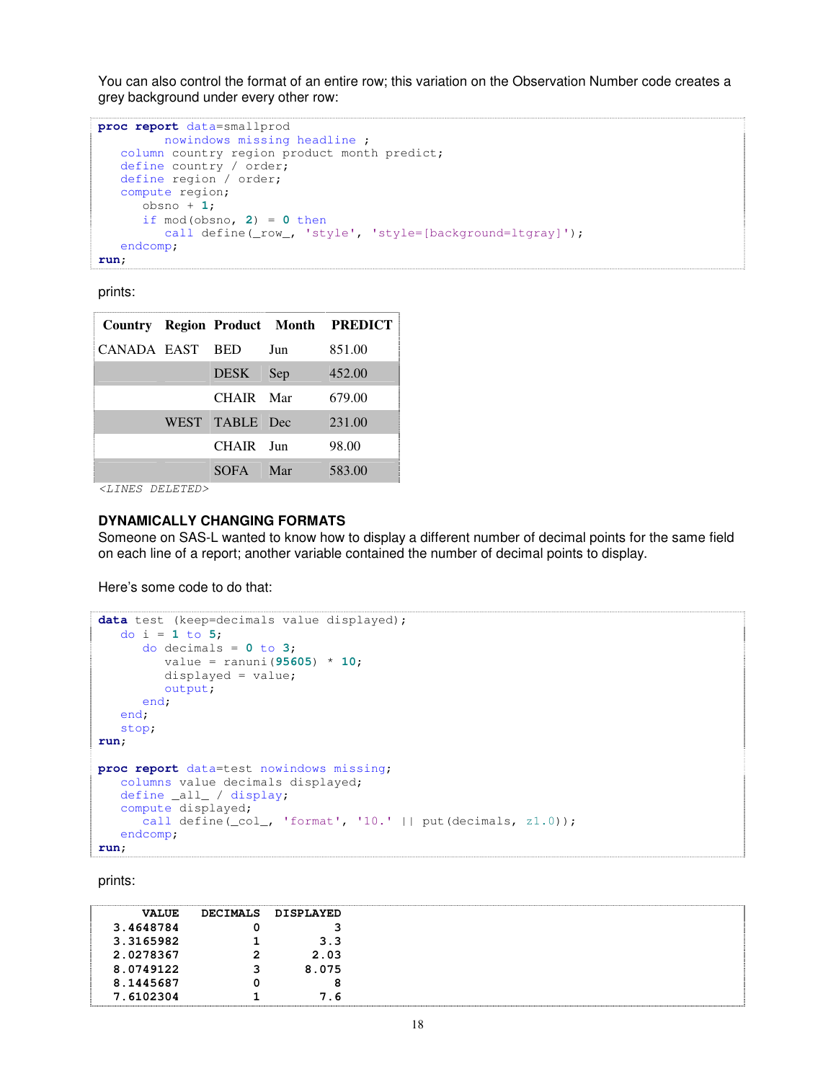You can also control the format of an entire row; this variation on the Observation Number code creates a grey background under every other row:

```
proc report data=smallprod
        nowindows missing headline ;
   column country region product month predict;
   define country / order;
   define region / order;
  compute region;
     obsno + 1;
      if mod(obsno, 2) = 0 then
        call define(_row_, 'style', 'style=[background=ltgray]');
   endcomp;
run;
```
prints:

|             |                |     | <b>Country Region Product Month PREDICT</b> |
|-------------|----------------|-----|---------------------------------------------|
| CANADA EAST | <b>BED</b>     | Jun | 851.00                                      |
|             | <b>DESK</b>    | Sep | 452.00                                      |
|             | CHAIR Mar      |     | 679.00                                      |
|             | WEST TABLE Dec |     | 231.00                                      |
|             | CHAIR Jun      |     | 98.00                                       |
|             | SOFA.          | Mar | 583.00                                      |

*<LINES DELETED>*

### **DYNAMICALLY CHANGING FORMATS**

Someone on SAS-L wanted to know how to display a different number of decimal points for the same field on each line of a report; another variable contained the number of decimal points to display.

Here's some code to do that:

```
data test (keep=decimals value displayed);
   do i = 1 to 5;
      do decimals = 0 to 3;
         value = ranuni(95605) * 10;
         displayed = value;
         output;
      end;
   end;
   stop;
run;
proc report data=test nowindows missing;
   columns value decimals displayed;
   define _all_ / display;
   compute displayed;
      call define(_col_, 'format', '10.' || put(decimals, z1.0));
   endcomp;
run;
```

| <b>VALUE</b> | <b>DECIMALS</b> | DISPLAYED |  |
|--------------|-----------------|-----------|--|
| 3.4648784    |                 |           |  |
| 3.3165982    |                 | 3.3       |  |
| 2.0278367    | 2               | 2.03      |  |
| 8.0749122    |                 | 8.075     |  |
| 8.1445687    |                 | 8         |  |
| 7.6102304    |                 | 7.6       |  |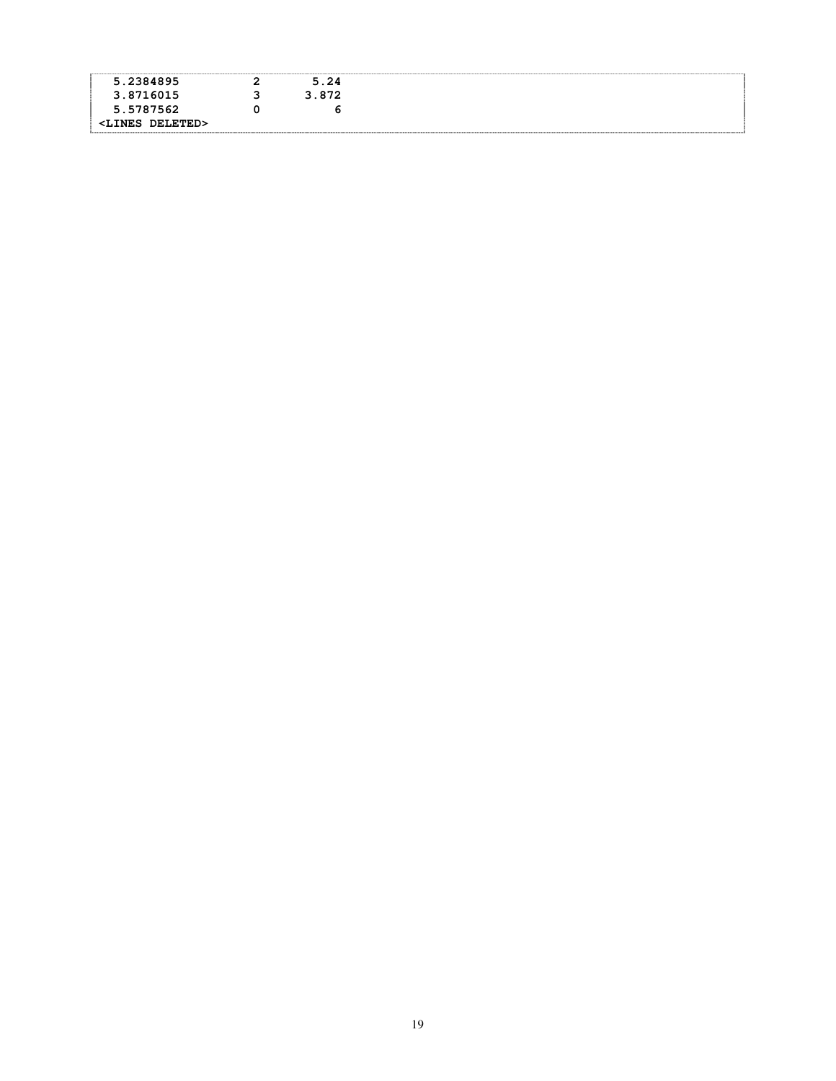| 5.2384895                                                       | 5.24  |  |
|-----------------------------------------------------------------|-------|--|
| 3.8716015                                                       | 3.872 |  |
| 5.5787562                                                       |       |  |
| <b>DELETED&gt;</b><br><lines< td=""><td></td><td></td></lines<> |       |  |